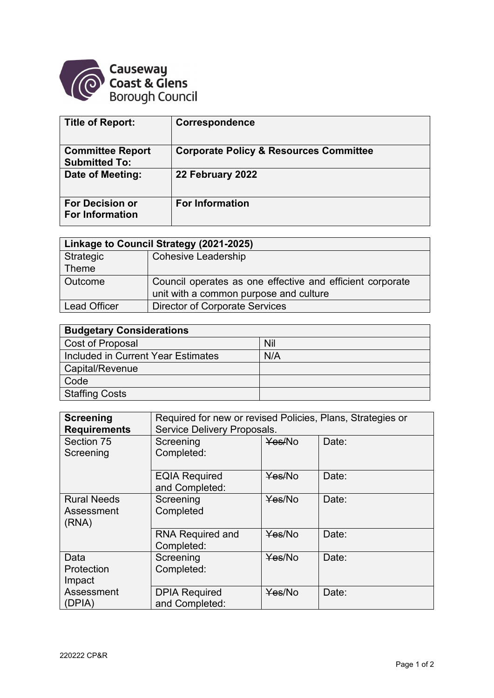

| <b>Title of Report:</b>                          | Correspondence                                    |
|--------------------------------------------------|---------------------------------------------------|
| <b>Committee Report</b><br><b>Submitted To:</b>  | <b>Corporate Policy &amp; Resources Committee</b> |
| Date of Meeting:                                 | 22 February 2022                                  |
| <b>For Decision or</b><br><b>For Information</b> | <b>For Information</b>                            |

| Linkage to Council Strategy (2021-2025) |                                                           |  |  |
|-----------------------------------------|-----------------------------------------------------------|--|--|
| Strategic                               | <b>Cohesive Leadership</b>                                |  |  |
| Theme                                   |                                                           |  |  |
| <b>Outcome</b>                          | Council operates as one effective and efficient corporate |  |  |
|                                         | unit with a common purpose and culture                    |  |  |
| <b>Lead Officer</b>                     | <b>Director of Corporate Services</b>                     |  |  |

| <b>Budgetary Considerations</b>    |     |  |  |  |
|------------------------------------|-----|--|--|--|
| Cost of Proposal                   | Nil |  |  |  |
| Included in Current Year Estimates | N/A |  |  |  |
| Capital/Revenue                    |     |  |  |  |
| Code                               |     |  |  |  |
| <b>Staffing Costs</b>              |     |  |  |  |

| <b>Screening</b><br><b>Requirements</b>   | Required for new or revised Policies, Plans, Strategies or<br>Service Delivery Proposals. |        |       |  |  |
|-------------------------------------------|-------------------------------------------------------------------------------------------|--------|-------|--|--|
| Section 75<br>Screening                   | Screening<br>Completed:                                                                   | Yes/No | Date: |  |  |
|                                           | <b>EQIA Required</b><br>and Completed:                                                    | Yes/No | Date: |  |  |
| <b>Rural Needs</b><br>Assessment<br>(RNA) | Screening<br>Completed                                                                    | Yes/No | Date: |  |  |
|                                           | <b>RNA Required and</b><br>Completed:                                                     | Yes/No | Date: |  |  |
| Data<br>Protection<br>Impact              | Screening<br>Completed:                                                                   | Yes/No | Date: |  |  |
| Assessment<br>(DPIA)                      | <b>DPIA Required</b><br>and Completed:                                                    | Yes/No | Date: |  |  |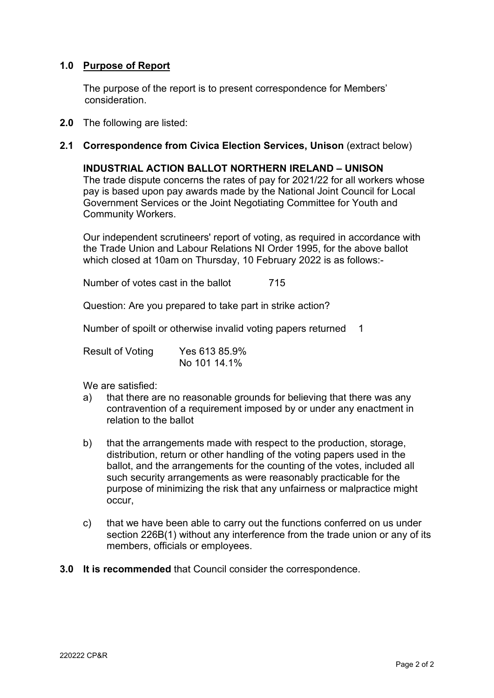# **1.0 Purpose of Report**

The purpose of the report is to present correspondence for Members' consideration.

**2.0** The following are listed:

## **2.1 Correspondence from Civica Election Services, Unison (extract below)**

#### **INDUSTRIAL ACTION BALLOT NORTHERN IRELAND – UNISON**

The trade dispute concerns the rates of pay for 2021/22 for all workers whose pay is based upon pay awards made by the National Joint Council for Local Government Services or the Joint Negotiating Committee for Youth and Community Workers.

Our independent scrutineers' report of voting, as required in accordance with the Trade Union and Labour Relations NI Order 1995, for the above ballot which closed at 10am on Thursday, 10 February 2022 is as follows:-

Number of votes cast in the ballot 715

Question: Are you prepared to take part in strike action?

Number of spoilt or otherwise invalid voting papers returned 1

| <b>Result of Voting</b> | Yes 613 85.9% |  |  |
|-------------------------|---------------|--|--|
|                         | No 101 14.1%  |  |  |

We are satisfied:

- a) that there are no reasonable grounds for believing that there was any contravention of a requirement imposed by or under any enactment in relation to the ballot
- b) that the arrangements made with respect to the production, storage, distribution, return or other handling of the voting papers used in the ballot, and the arrangements for the counting of the votes, included all such security arrangements as were reasonably practicable for the purpose of minimizing the risk that any unfairness or malpractice might occur,
- c) that we have been able to carry out the functions conferred on us under section 226B(1) without any interference from the trade union or any of its members, officials or employees.
- **3.0 It is recommended** that Council consider the correspondence.